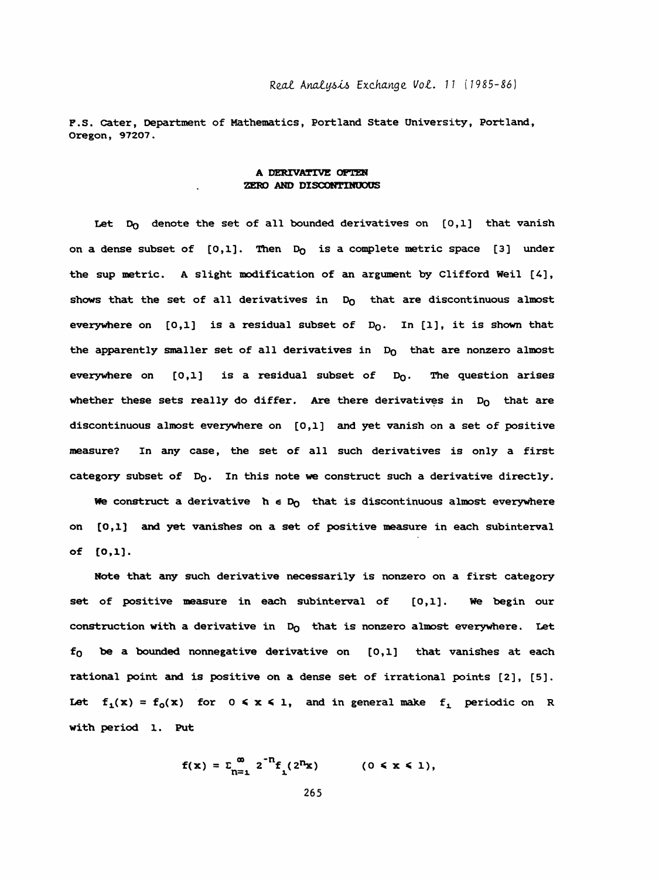F. S. Cater, Department of Mathematics, Portland State University, Portland, Oregon, 97207.

## A DERIVATIVE OFTEN ZERO AND DISCONTINUOUS

Let  $D_0$  denote the set of all bounded derivatives on  $[0,1]$  that vanish on a dense subset of  $[0,1]$ . Then  $D_0$  is a complete metric space  $[3]$  under the sup metric. A slight modification of an argument by Clifford Weil [4], shows that the set of all derivatives in  $D_0$  that are discontinuous almost everywhere on  $[0,1]$  is a residual subset of  $D_0$ . In  $[1]$ , it is shown that the apparently smaller set of all derivatives in  $D_0$  that are nonzero almost everywhere on  $[0,1]$  is a residual subset of  $D_0$ . The question arises whether these sets really do differ. Are there derivatives in  $D_0$  that are discontinuous almost everywhere on [0,1] and yet vanish on a set of positive measure? In any case, the set of all such derivatives is only a first category subset of  $D_0$ . In this note we construct such a derivative directly.

We construct a derivative  $h \in D_0$  that is discontinuous almost everywhere on [0,1] and yet varnishes on a set of positive measure in each subinterval of [0,1].

 Nöte that any such derivative necessarily is nonzero on a first category set of positive measure in each subinterval of [0,1]. We begin our construction with a derivative in  $D_0$  that is nonzero almost everywhere. Let  $f_0$  be a bounded nonnegative derivative on  $[0,1]$  that vanishes at each rational point and is positive on a dense set of irrational points [2], [5]. Let  $f_1(x) = f_0(x)$  for  $0 \le x \le 1$ , and in general make  $f_1$  periodic on R with period 1. Put

$$
f(x) = \sum_{n=1}^{\infty} 2^{-n} f_1(2^{n}x) \qquad (0 \le x \le 1),
$$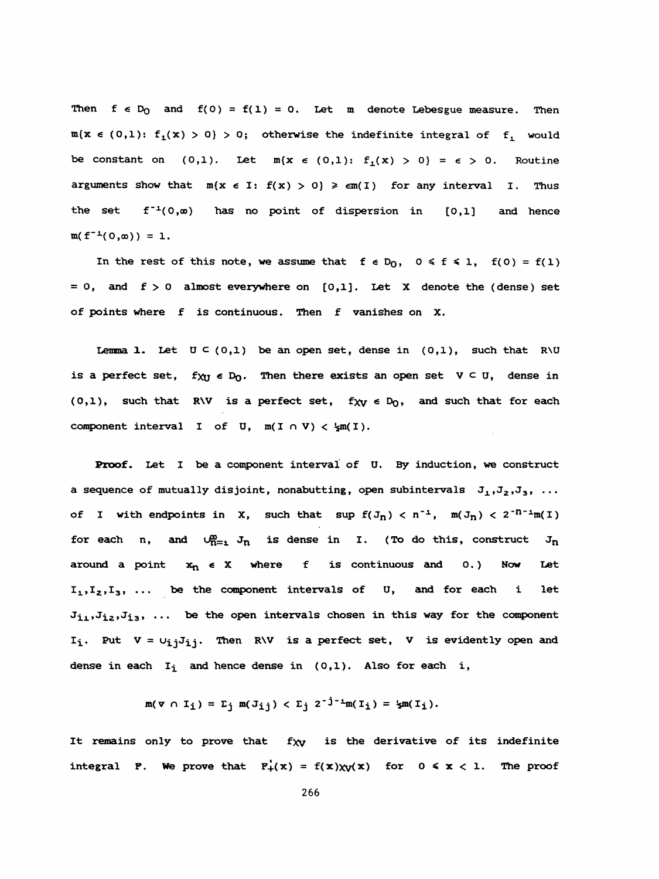Then  $f \in D_0$  and  $f(0) = f(1) = 0$ . Let m denote Lebesgue measure. Then  $m(x \in (0,1): f_1(x) > 0) > 0$ ; otherwise the indefinite integral of  $f_1$  would be constant on (0,1). Let  $m(x \in (0,1): f_1(x) > 0) = \epsilon > 0$ . Routine arguments show that  $m(x \in I: f(x) > 0) \geq \epsilon m(T)$  for any interval I. Thus the set  $f^{-1}(0,\infty)$  has no point of dispersion in  $[0,1]$  and hence  $m(f^{-1}(0,\infty)) = 1.$ 

In the rest of this note, we assume that  $f \in D_0$ ,  $0 \le f \le 1$ ,  $f(0) = f(1)$  $= 0$ , and  $f > 0$  almost everywhere on  $[0,1]$ . Let X denote the (dense) set of points where f is continuous. Then f vanishes on X.

Lemma 1. Let  $U \subseteq (0,1)$  be an open set, dense in  $(0,1)$ , such that R\U is a perfect set,  $f_{XU} \in D_0$ . Then there exists an open set  $V \subseteq U$ , dense in (0,1), such that R\V is a perfect set,  $f_{XY} \in D_0$ , and such that for each component interval I of U,  $m(I \cap V) < \frac{1}{2}m(I)$ .

 Proof. Let I be a component interval of U. By induction, we construct a sequence of mutually disjoint, nonabutting, open subintervals  $J_1, J_2, J_3, \ldots$ of I with endpoints in X, such that sup  $f(J_n) < n^{-1}$ ,  $m(J_n) < 2^{-n-1}m(I)$ for each n, and  $\bigcup_{n=1}^{\infty} J_n$  is dense in I. (To do this, construct  $J_n$ around a point  $x_n \in X$  where f is continuous and 0.) Now Let  $I_1, I_2, I_3, \ldots$  be the component intervals of  $U$ , and for each i let  $J_{11},J_{12},J_{13},...$  be the open intervals chosen in this way for the component  $I_i$ . Put  $V = U_{i,j}J_{i,j}$ . Then R\V is a perfect set, V is evidently open and dense in each  $I_i$  and hence dense in (0,1). Also for each i,

$$
m(\mathbf{v} \cap I_{\mathbf{i}}) = \mathbf{E}_{\mathbf{j}} m(J_{\mathbf{i}\mathbf{j}}) < \mathbf{E}_{\mathbf{j}} 2^{-\mathbf{j}-\mathbf{i}} m(I_{\mathbf{i}}) = \mathbf{E}_{\mathbf{m}}(I_{\mathbf{i}}).
$$

It remains only to prove that  $f_{XY}$  is the derivative of its indefinite integral P. We prove that  $F_+(x) = f(x)\chi_Y(x)$  for  $0 \le x < 1$ . The proof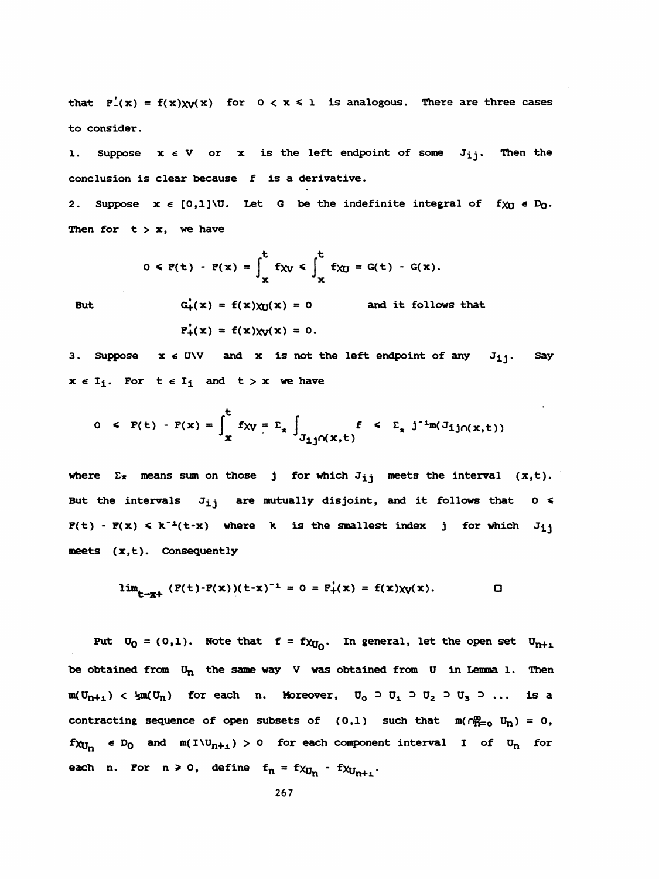that  $F'_{-}(x) = f(x)\chi_{V}(x)$  for  $0 < x \le 1$  is analogous. There are three cases to consider.

1. Suppose  $x \in V$  or  $x$  is the left endpoint of some  $J_{ij}$ . Then the conclusion is clear because f is a derivative.

2. Suppose  $x \in [0,1] \setminus U$ . Let G be the indefinite integral of  $f_{XU} \in D_0$ . Then for  $t > x$ , we have

$$
0 \leq P(t) - P(x) = \int_{x}^{t} f_{XY} \leq \int_{x}^{t} f_{XU} = G(t) - G(x).
$$

**But** 

$$
G'_{+}(x) = f(x)\chi_{U}(x) = 0
$$
 and it follows that  
 $F'_{+}(x) = f(x)\chi_{V}(x) = 0.$ 

3. Suppose  $x \in U \setminus V$  and x is not the left endpoint of any  $J_{ij}$ . Say  $x \in I_i$ . For  $t \in I_i$  and  $t > x$  we have

$$
0 \leq F(t) - F(x) = \int_x^t f_{xy} = \sum_x \int_{J_{\underline{i}\underline{j}} \cap (x,t)} f \leq \sum_x j^{-1} m(J_{\underline{i}\underline{j}} \cap (x,t))
$$

where  $\Sigma_{\star}$  means sum on those j for which  $J_{ij}$  meets the interval (x,t). But the intervals  $J_{ij}$  are mutually disjoint, and it follows that  $0 \leq$  $P(t) - P(x) \le k^{-1}(t-x)$  where k is the smallest index j for which  $J_{ij}$ meets (x,t). Consequently

$$
\lim_{t \to x^+} (P(t) - P(x))(t - x)^{-1} = 0 = P_+^1(x) = f(x)\chi_V(x).
$$

Put  $U_0 = (0,1)$ . Note that  $f = f \chi_{U_0}$ . In general, let the open set  $U_{n+1}$ be obtained from  $U_n$  the same way V was obtained from U in Lemma 1. Then  $m(U_{n+1}) < \frac{1}{2}m(U_n)$  for each n. Moreover,  $U_0 \supset U_1 \supset U_2 \supset U_3 \supset \dots$  is a contracting sequence of open subsets of (0,1) such that  $m(\bigcap_{n=0}^{\infty} U_n) = 0$ ,  $f_{\lambda U_n}$   $\epsilon D_0$  and  $m(I \setminus U_{n+1}) > 0$  for each component interval I of  $U_n$  for each n. Por n > 0, define  $f_n = f \chi_{U_n} - f \chi_{U_{n+1}}$ .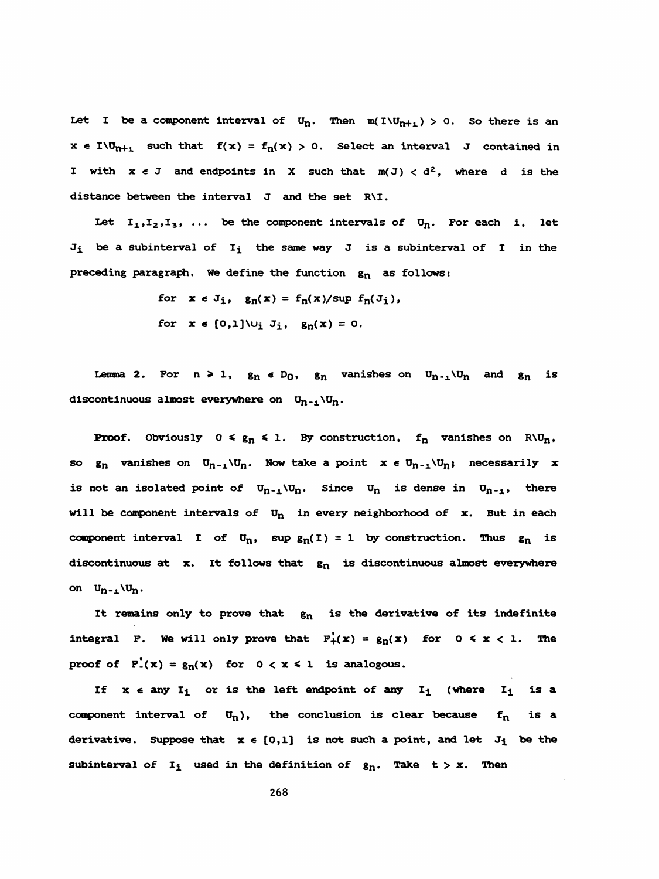Let I be a component interval of  $U_n$ . Then  $m(I\setminus U_{n+1}) > 0$ . So there is an  $x \in I \cup_{n+1}$  such that  $f(x) = f_n(x) > 0$ . Select an interval J contained in I with  $x \in J$  and endpoints in X such that  $m(J) < d^2$ , where d is the distance between the interval J and the set R'I.

Let  $I_1, I_2, I_3, \ldots$  be the component intervals of  $U_n$ . For each i, let  $J_i$  be a subinterval of  $I_i$  the same way J is a subinterval of I in the preceding paragraph. We define the function  $g_n$  as follows:

for  $x \in J_i$ ,  $g_n(x) = f_n(x)/\sup f_n(J_i)$ ,

for  $x \in [0,1] \cup_i J_i$ ,  $g_n(x) = 0$ .

Lemma 2. For  $n \ge 1$ ,  $g_n \in D_0$ ,  $g_n$  vanishes on  $U_{n-1} \setminus U_n$  and  $g_n$  is discontinuous almost everywhere on  $U_{n-1}\setminus U_n$ .

**Proof.** Obviously  $0 \leq g_n \leq 1$ . By construction,  $f_n$  vanishes on  $R\Upsilon_n$ , so  $g_n$  vanishes on  $U_{n-1} \setminus U_n$ . Now take a point  $x \in U_{n-1} \setminus U_n$ ; necessarily x is not an isolated point of  $U_{n-1} \setminus U_n$ . Since  $U_n$  is dense in  $U_{n-1}$ , there will be component intervals of  $U_n$  in every neighborhood of x. But in each component interval I of  $U_n$ , sup  $g_n(I) = 1$  by construction. Thus  $g_n$  is discontinuous at  $x$ . It follows that  $g_n$  is discontinuous almost everywhere on  $U_{n-1} \setminus U_n$ .

It remains only to prove that  $g_n$  is the derivative of its indefinite integral F. We will only prove that  $F_+(x) = g_n(x)$  for  $0 \le x < 1$ . The proof of  $F'(x) = g_n(x)$  for  $0 < x \le 1$  is analogous.

If  $x \in any I_i$  or is the left endpoint of any  $I_i$  (where  $I_i$  is a component interval of  $U_n$ ), the conclusion is clear because  $f_n$  is a derivative. Suppose that  $x \in [0,1]$  is not such a point, and let  $J_i$  be the subinterval of  $I_i$  used in the definition of  $g_n$ . Take  $t > x$ . Then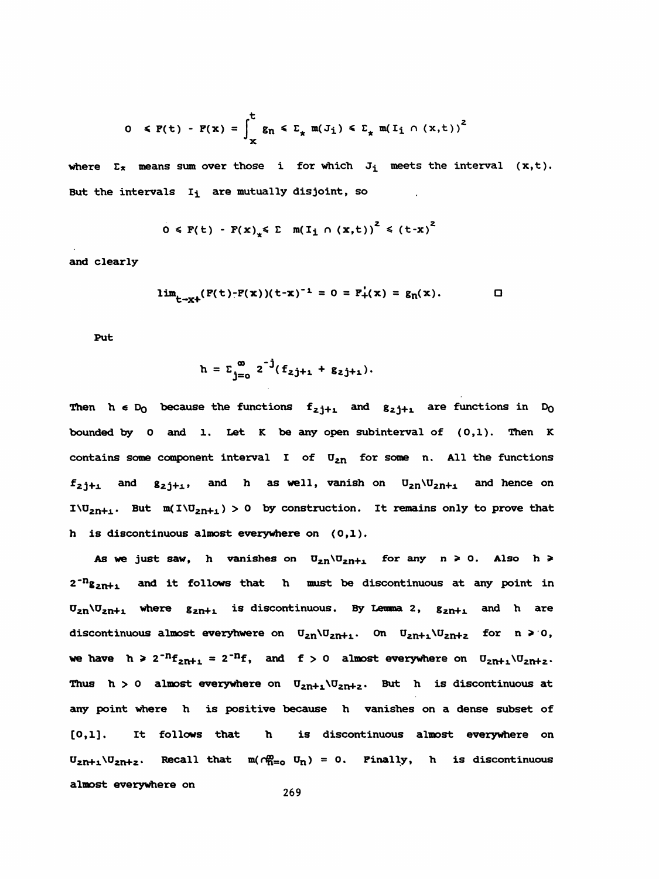$$
0 \leq F(t) - F(x) = \int_{x}^{t} g_n \leq \sum_{x} m(J_i) \leq \sum_{x} m(I_i \cap (x,t))^2
$$

where  $\Sigma_{\star}$  means sum over those i for which  $J_i$  meets the interval  $(x,t)$ . But the intervals  $I_i$  are mutually disjoint, so

$$
0 \leq F(t) - F(x) \leq \sum m(T_1 \cap (x,t))^2 \leq (t-x)^2
$$

and clearly

$$
\lim_{t \to x^+} (P(t) - P(x)) (t - x)^{-1} = 0 = P'_+(x) = g_n(x).
$$

Put

$$
h = \sum_{j=0}^{\infty} 2^{-j} (f_{2j+1} + g_{2j+1}).
$$

Then  $h \in D_0$  because the functions  $f_{z j+1}$  and  $g_{z j+1}$  are functions in  $D_0$  bounded by 0 amd 1. Let K be amy open subinterval of (0,1). Then K contains some component interval I of  $U_{2n}$  for some n. All the functions  $f_{2j+1}$  and  $g_{2j+1}$ , and h as well, vanish on  $U_{2n}U_{2n+1}$  and hence on I\U<sub>2n+1</sub>. But  $m(I\setminus U_{2n+1}) > 0$  by construction. It remains only to prove that h is discontinuous almost everywhere on (0,1).

As we just saw, h vanishes on  $U_{2n} \setminus U_{2n+1}$  for any  $n \ge 0$ . Also  $h \ge 0$  $2^{-n}g_{2n+1}$  and it follows that h must be discontinuous at any point in  $U_{2n}U_{2n+1}$  where  $g_{2n+1}$  is discontinuous. By Lemma 2,  $g_{2n+1}$  and h are discontinuous almost everyhwere on  $U_{2n}U_{2n+1}$ . On  $U_{2n+1}U_{2n+2}$  for  $n \geq 0$ , we have  $h \geq 2^{-n}f_{2n+1} = 2^{-n}f$ , and  $f > 0$  almost everywhere on  $U_{2n+1} \setminus U_{2n+2}$ . Thus  $h > 0$  almost everywhere on  $U_{2n+1} \setminus U_{2n+2}$ . But h is discontinuous at any point where h is positive because h vanishes on a dense subset of [0,1]. It follows that h is discontinuous almost everywhere on  $U_{2n+1} \setminus U_{2n+2}$ . Recall that  $m(\tau_{n=0}^{\infty} U_n) = 0$ . Pinally, h is discontinuous almost everywhere on